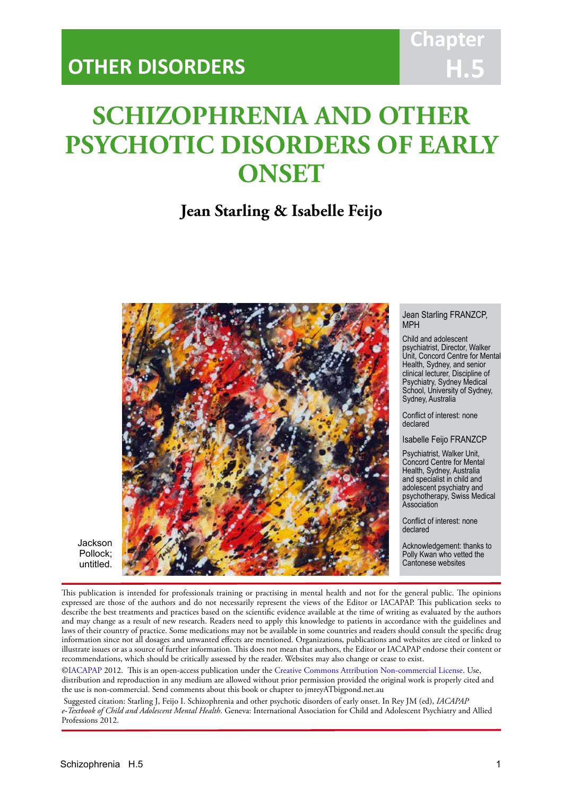# **Chapter H.5**

# **SCHIZOPHRENIA AND OTHER PSYCHOTIC DISORDERS OF EARLY ONSET**

IACAPAP Textbook of Child and Adolescent Mental Health

# **Jean Starling & Isabelle Feijo**



Jackson Pollock; untitled.

This publication is intended for professionals training or practising in mental health and not for the general public. The opinions expressed are those of the authors and do not necessarily represent the views of the Editor or IACAPAP. This publication seeks to describe the best treatments and practices based on the scientific evidence available at the time of writing as evaluated by the authors and may change as a result of new research. Readers need to apply this knowledge to patients in accordance with the guidelines and laws of their country of practice. Some medications may not be available in some countries and readers should consult the specific drug information since not all dosages and unwanted effects are mentioned. Organizations, publications and websites are cited or linked to illustrate issues or as a source of further information. This does not mean that authors, the Editor or IACAPAP endorse their content or recommendations, which should be critically assessed by the reader. Websites may also change or cease to exist.

[©IACAPAP](http://iacapap.org/) 2012. This is an open-access publication under the [Creative Commons Attribution Non-commercial License](http://creativecommons.org/licenses/by-nc/2.0/). Use, distribution and reproduction in any medium are allowed without prior permission provided the original work is properly cited and the use is non-commercial. Send comments about this book or chapter to jmreyATbigpond.net.au

 Suggested citation: Starling J, Feijo I. Schizophrenia and other psychotic disorders of early onset. In Rey JM (ed), *IACAPAP e-Textbook of Child and Adolescent Mental Health*. Geneva: International Association for Child and Adolescent Psychiatry and Allied Professions 2012.

#### Jean Starling FRANZCP, MPH

Child and adolescent psychiatrist, Director, Walker Unit, Concord Centre for Mental Health, Sydney, and senior clinical lecturer, Discipline of Psychiatry, Sydney Medical School, University of Sydney, Sydney, Australia

Conflict of interest: none declared

Isabelle Feijo FRANZCP

Psychiatrist, Walker Unit, Concord Centre for Mental Health, Sydney, Australia and specialist in child and adolescent psychiatry and psychotherapy, Swiss Medical Association

Conflict of interest: none declared

Acknowledgement: thanks to Polly Kwan who vetted the Cantonese websites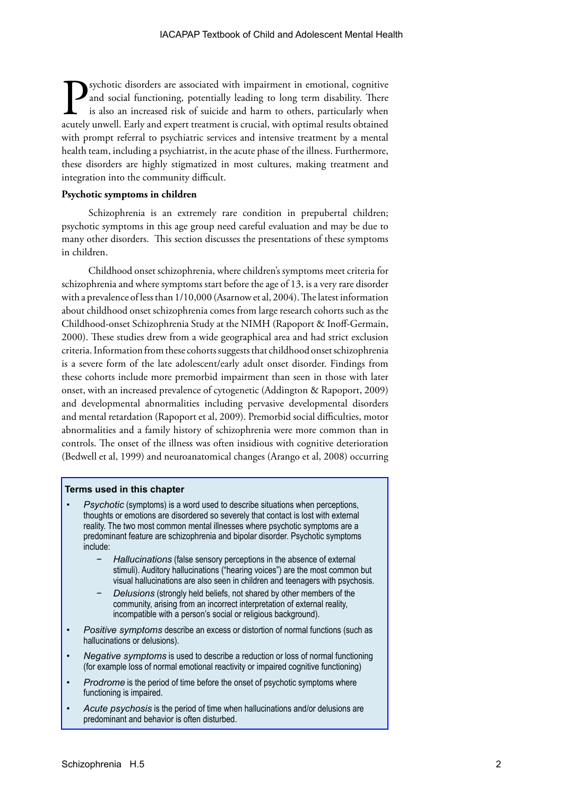Sychotic disorders are associated with impairment in emotional, cognitive and social functioning, potentially leading to long term disability. There is also an increased risk of suicide and harm to others, particularly whe and social functioning, potentially leading to long term disability. There is also an increased risk of suicide and harm to others, particularly when acutely unwell. Early and expert treatment is crucial, with optimal results obtained with prompt referral to psychiatric services and intensive treatment by a mental health team, including a psychiatrist, in the acute phase of the illness. Furthermore, these disorders are highly stigmatized in most cultures, making treatment and integration into the community difficult.

#### **Psychotic symptoms in children**

Schizophrenia is an extremely rare condition in prepubertal children; psychotic symptoms in this age group need careful evaluation and may be due to many other disorders. This section discusses the presentations of these symptoms in children.

Childhood onset schizophrenia, where children's symptoms meet criteria for schizophrenia and where symptoms start before the age of 13, is a very rare disorder with a prevalence of less than 1/10,000 (Asarnow et al, 2004). The latest information about childhood onset schizophrenia comes from large research cohorts such as the Childhood-onset Schizophrenia Study at the NIMH (Rapoport & Inoff-Germain, 2000). These studies drew from a wide geographical area and had strict exclusion criteria. Information from these cohorts suggests that childhood onset schizophrenia is a severe form of the late adolescent/early adult onset disorder. Findings from these cohorts include more premorbid impairment than seen in those with later onset, with an increased prevalence of cytogenetic (Addington & Rapoport, 2009) and developmental abnormalities including pervasive developmental disorders and mental retardation (Rapoport et al, 2009). Premorbid social difficulties, motor abnormalities and a family history of schizophrenia were more common than in controls. The onset of the illness was often insidious with cognitive deterioration (Bedwell et al, 1999) and neuroanatomical changes (Arango et al, 2008) occurring

#### **Terms used in this chapter**

- *Psychotic* (symptoms) is a word used to describe situations when perceptions, thoughts or emotions are disordered so severely that contact is lost with external reality. The two most common mental illnesses where psychotic symptoms are a predominant feature are schizophrenia and bipolar disorder. Psychotic symptoms include:
	- *− Hallucinations* (false sensory perceptions in the absence of external stimuli). Auditory hallucinations ("hearing voices") are the most common but visual hallucinations are also seen in children and teenagers with psychosis.
	- *Delusions* (strongly held beliefs, not shared by other members of the community, arising from an incorrect interpretation of external reality, incompatible with a person's social or religious background).
- *Positive symptoms* describe an excess or distortion of normal functions (such as hallucinations or delusions).
- *Negative symptoms* is used to describe a reduction or loss of normal functioning (for example loss of normal emotional reactivity or impaired cognitive functioning)
- *Prodrome* is the period of time before the onset of psychotic symptoms where functioning is impaired.
- Acute *psychosis* is the period of time when hallucinations and/or delusions are predominant and behavior is often disturbed.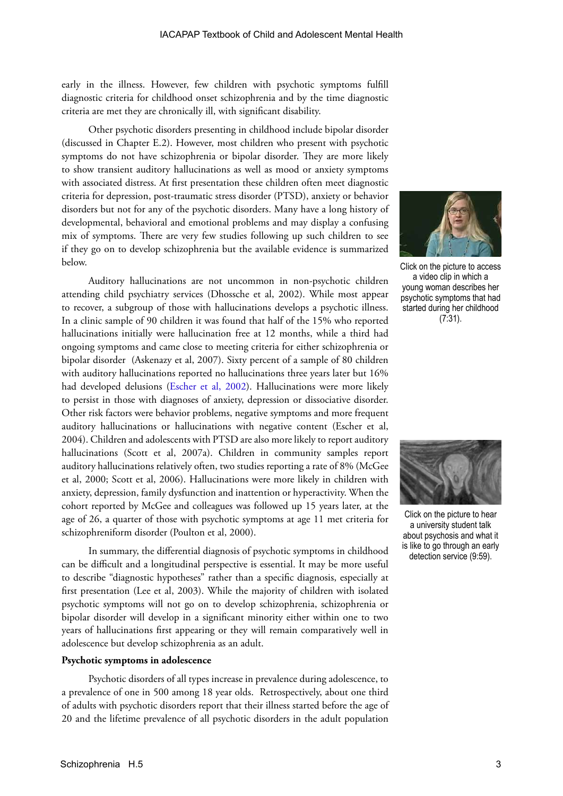early in the illness. However, few children with psychotic symptoms fulfill diagnostic criteria for childhood onset schizophrenia and by the time diagnostic criteria are met they are chronically ill, with significant disability.

Other psychotic disorders presenting in childhood include bipolar disorder (discussed in Chapter E.2). However, most children who present with psychotic symptoms do not have schizophrenia or bipolar disorder. They are more likely to show transient auditory hallucinations as well as mood or anxiety symptoms with associated distress. At first presentation these children often meet diagnostic criteria for depression, post-traumatic stress disorder (PTSD), anxiety or behavior disorders but not for any of the psychotic disorders. Many have a long history of developmental, behavioral and emotional problems and may display a confusing mix of symptoms. There are very few studies following up such children to see if they go on to develop schizophrenia but the available evidence is summarized below.

Auditory hallucinations are not uncommon in non-psychotic children attending child psychiatry services (Dhossche et al, 2002). While most appear to recover, a subgroup of those with hallucinations develops a psychotic illness. In a clinic sample of 90 children it was found that half of the 15% who reported hallucinations initially were hallucination free at 12 months, while a third had ongoing symptoms and came close to meeting criteria for either schizophrenia or bipolar disorder (Askenazy et al, 2007). Sixty percent of a sample of 80 children with auditory hallucinations reported no hallucinations three years later but 16% had developed delusions ([Escher et al, 2002](http://bjp.rcpsych.org/content/181/43/s10.full.pdf)). Hallucinations were more likely to persist in those with diagnoses of anxiety, depression or dissociative disorder. Other risk factors were behavior problems, negative symptoms and more frequent auditory hallucinations or hallucinations with negative content (Escher et al, 2004). Children and adolescents with PTSD are also more likely to report auditory hallucinations (Scott et al, 2007a). Children in community samples report auditory hallucinations relatively often, two studies reporting a rate of 8% (McGee et al, 2000; Scott et al, 2006). Hallucinations were more likely in children with anxiety, depression, family dysfunction and inattention or hyperactivity. When the cohort reported by McGee and colleagues was followed up 15 years later, at the age of 26, a quarter of those with psychotic symptoms at age 11 met criteria for schizophreniform disorder (Poulton et al, 2000).

In summary, the differential diagnosis of psychotic symptoms in childhood can be difficult and a longitudinal perspective is essential. It may be more useful to describe "diagnostic hypotheses" rather than a specific diagnosis, especially at first presentation (Lee et al, 2003). While the majority of children with isolated psychotic symptoms will not go on to develop schizophrenia, schizophrenia or bipolar disorder will develop in a significant minority either within one to two years of hallucinations first appearing or they will remain comparatively well in adolescence but develop schizophrenia as an adult.

#### **Psychotic symptoms in adolescence**

Psychotic disorders of all types increase in prevalence during adolescence, to a prevalence of one in 500 among 18 year olds. Retrospectively, about one third of adults with psychotic disorders report that their illness started before the age of 20 and the lifetime prevalence of all psychotic disorders in the adult population



Click on the picture to access a video clip in which a young woman describes her psychotic symptoms that had started during her childhood (7:31).



Click on the picture to hear a university student talk about psychosis and what it is like to go through an early detection service (9:59).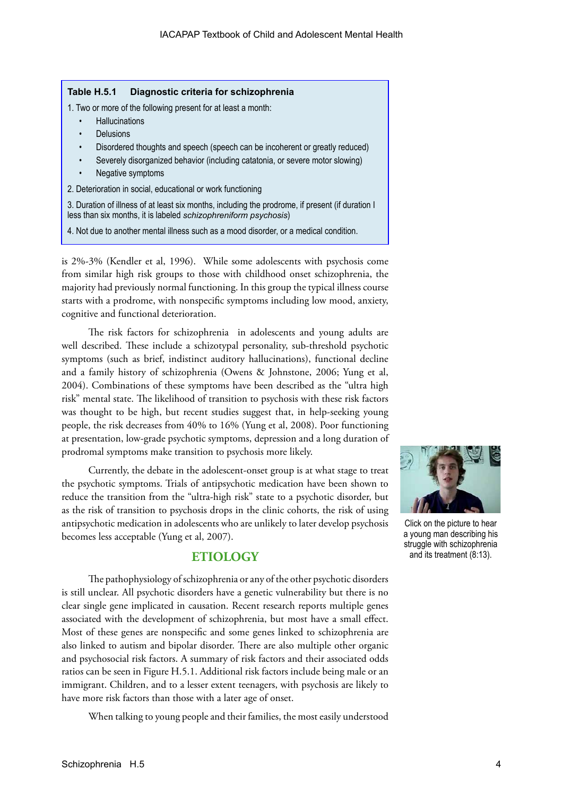#### **Table H.5.1 Diagnostic criteria for schizophrenia**

- 1. Two or more of the following present for at least a month:
	- **Hallucinations**
	- **Delusions**
	- Disordered thoughts and speech (speech can be incoherent or greatly reduced)
	- Severely disorganized behavior (including catatonia, or severe motor slowing)
	- Negative symptoms
- 2. Deterioration in social, educational or work functioning

3. Duration of illness of at least six months, including the prodrome, if present (if duration I less than six months, it is labeled *schizophreniform psychosis*)

4. Not due to another mental illness such as a mood disorder, or a medical condition.

is 2%-3% (Kendler et al, 1996). While some adolescents with psychosis come from similar high risk groups to those with childhood onset schizophrenia, the majority had previously normal functioning. In this group the typical illness course starts with a prodrome, with nonspecific symptoms including low mood, anxiety, cognitive and functional deterioration.

The risk factors for schizophrenia in adolescents and young adults are well described. These include a schizotypal personality, sub-threshold psychotic symptoms (such as brief, indistinct auditory hallucinations), functional decline and a family history of schizophrenia (Owens & Johnstone, 2006; Yung et al, 2004). Combinations of these symptoms have been described as the "ultra high risk" mental state. The likelihood of transition to psychosis with these risk factors was thought to be high, but recent studies suggest that, in help-seeking young people, the risk decreases from 40% to 16% (Yung et al, 2008). Poor functioning at presentation, low-grade psychotic symptoms, depression and a long duration of prodromal symptoms make transition to psychosis more likely.

Currently, the debate in the adolescent-onset group is at what stage to treat the psychotic symptoms. Trials of antipsychotic medication have been shown to reduce the transition from the "ultra-high risk" state to a psychotic disorder, but as the risk of transition to psychosis drops in the clinic cohorts, the risk of using antipsychotic medication in adolescents who are unlikely to later develop psychosis becomes less acceptable (Yung et al, 2007).

# **ETIOLOGY**

The pathophysiology of schizophrenia or any of the other psychotic disorders is still unclear. All psychotic disorders have a genetic vulnerability but there is no clear single gene implicated in causation. Recent research reports multiple genes associated with the development of schizophrenia, but most have a small effect. Most of these genes are nonspecific and some genes linked to schizophrenia are also linked to autism and bipolar disorder. There are also multiple other organic and psychosocial risk factors. A summary of risk factors and their associated odds ratios can be seen in Figure H.5.1. Additional risk factors include being male or an immigrant. Children, and to a lesser extent teenagers, with psychosis are likely to have more risk factors than those with a later age of onset.

When talking to young people and their families, the most easily understood



Click on the picture to hear a young man describing his struggle with schizophrenia and its treatment (8:13).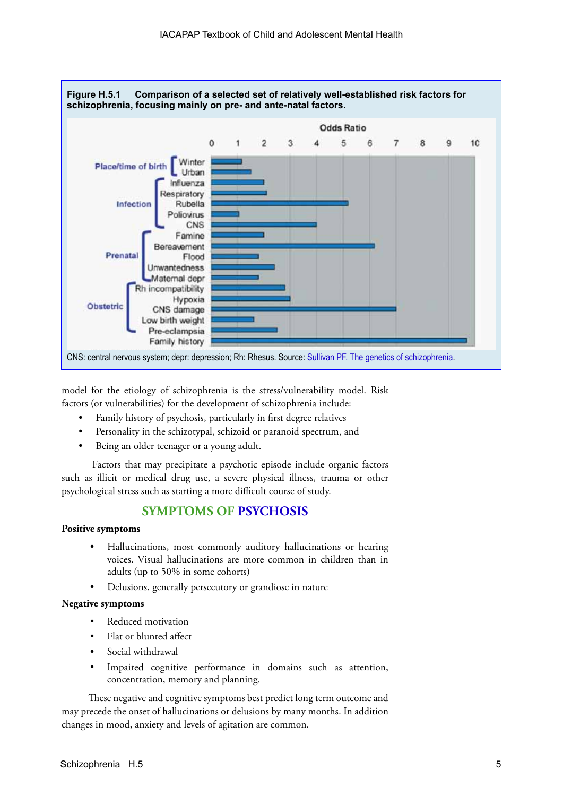

model for the etiology of schizophrenia is the stress/vulnerability model. Risk factors (or vulnerabilities) for the development of schizophrenia include:

- Family history of psychosis, particularly in first degree relatives
- Personality in the schizotypal, schizoid or paranoid spectrum, and
- Being an older teenager or a young adult.

 Factors that may precipitate a psychotic episode include organic factors such as illicit or medical drug use, a severe physical illness, trauma or other psychological stress such as starting a more difficult course of study.

# **SYMPTOMS OF [PSYCHOSIS](http://www.eppic.org.au/psychosis)**

#### **Positive symptoms**

- Hallucinations, most commonly auditory hallucinations or hearing voices. Visual hallucinations are more common in children than in adults (up to 50% in some cohorts)
- Delusions, generally persecutory or grandiose in nature

### **Negative symptoms**

- Reduced motivation
- Flat or blunted affect
- Social withdrawal
- Impaired cognitive performance in domains such as attention, concentration, memory and planning.

These negative and cognitive symptoms best predict long term outcome and may precede the onset of hallucinations or delusions by many months. In addition changes in mood, anxiety and levels of agitation are common.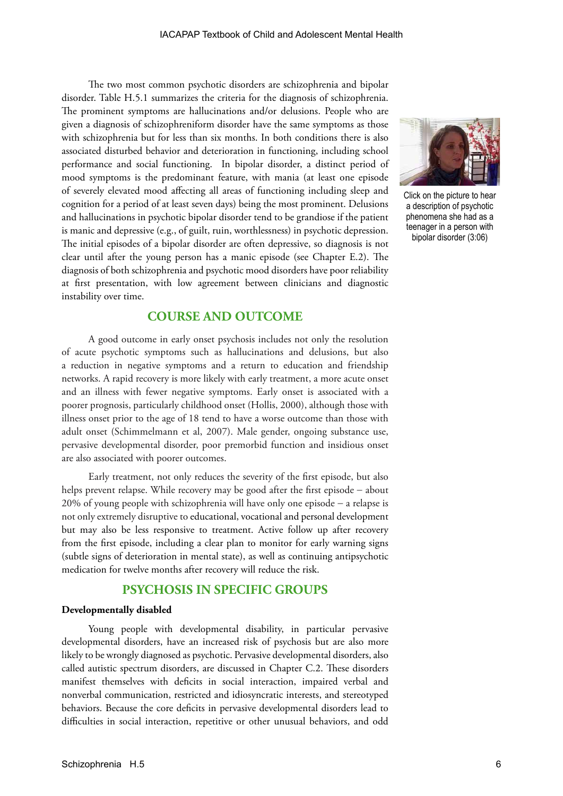The two most common psychotic disorders are schizophrenia and bipolar disorder. Table H.5.1 summarizes the criteria for the diagnosis of schizophrenia. The prominent symptoms are hallucinations and/or delusions. People who are given a diagnosis of schizophreniform disorder have the same symptoms as those with schizophrenia but for less than six months. In both conditions there is also associated disturbed behavior and deterioration in functioning, including school performance and social functioning. In bipolar disorder, a distinct period of mood symptoms is the predominant feature, with mania (at least one episode of severely elevated mood affecting all areas of functioning including sleep and cognition for a period of at least seven days) being the most prominent. Delusions and hallucinations in psychotic bipolar disorder tend to be grandiose if the patient is manic and depressive (e.g., of guilt, ruin, worthlessness) in psychotic depression. The initial episodes of a bipolar disorder are often depressive, so diagnosis is not clear until after the young person has a manic episode (see Chapter E.2). The diagnosis of both schizophrenia and psychotic mood disorders have poor reliability at first presentation, with low agreement between clinicians and diagnostic instability over time.

# **COURSE AND OUTCOME**

A good outcome in early onset psychosis includes not only the resolution of acute psychotic symptoms such as hallucinations and delusions, but also a reduction in negative symptoms and a return to education and friendship networks. A rapid recovery is more likely with early treatment, a more acute onset and an illness with fewer negative symptoms. Early onset is associated with a poorer prognosis, particularly childhood onset (Hollis, 2000), although those with illness onset prior to the age of 18 tend to have a worse outcome than those with adult onset (Schimmelmann et al, 2007). Male gender, ongoing substance use, pervasive developmental disorder, poor premorbid function and insidious onset are also associated with poorer outcomes.

Early treatment, not only reduces the severity of the first episode, but also helps prevent relapse. While recovery may be good after the first episode − about 20% of young people with schizophrenia will have only one episode − a relapse is not only extremely disruptive to educational, vocational and personal development but may also be less responsive to treatment. Active follow up after recovery from the first episode, including a clear plan to monitor for early warning signs (subtle signs of deterioration in mental state), as well as continuing antipsychotic medication for twelve months after recovery will reduce the risk.

## **PSYCHOSIS IN SPECIFIC GROUPS**

#### **Developmentally disabled**

Young people with developmental disability, in particular pervasive developmental disorders, have an increased risk of psychosis but are also more likely to be wrongly diagnosed as psychotic. Pervasive developmental disorders, also called autistic spectrum disorders, are discussed in Chapter C.2. These disorders manifest themselves with deficits in social interaction, impaired verbal and nonverbal communication, restricted and idiosyncratic interests, and stereotyped behaviors. Because the core deficits in pervasive developmental disorders lead to difficulties in social interaction, repetitive or other unusual behaviors, and odd



Click on the picture to hear a description of psychotic phenomena she had as a teenager in a person with bipolar disorder (3:06)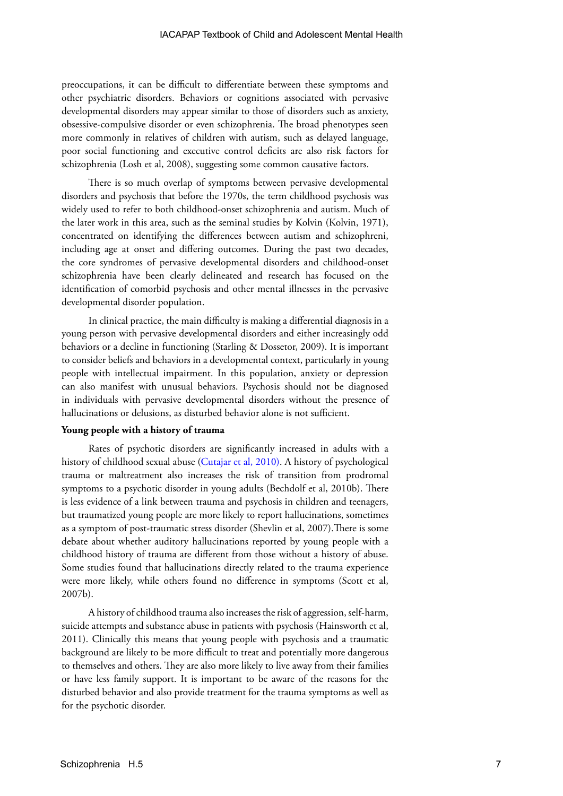preoccupations, it can be difficult to differentiate between these symptoms and other psychiatric disorders. Behaviors or cognitions associated with pervasive developmental disorders may appear similar to those of disorders such as anxiety, obsessive-compulsive disorder or even schizophrenia. The broad phenotypes seen more commonly in relatives of children with autism, such as delayed language, poor social functioning and executive control deficits are also risk factors for schizophrenia (Losh et al, 2008), suggesting some common causative factors.

There is so much overlap of symptoms between pervasive developmental disorders and psychosis that before the 1970s, the term childhood psychosis was widely used to refer to both childhood-onset schizophrenia and autism. Much of the later work in this area, such as the seminal studies by Kolvin (Kolvin, 1971), concentrated on identifying the differences between autism and schizophreni, including age at onset and differing outcomes. During the past two decades, the core syndromes of pervasive developmental disorders and childhood-onset schizophrenia have been clearly delineated and research has focused on the identification of comorbid psychosis and other mental illnesses in the pervasive developmental disorder population.

In clinical practice, the main difficulty is making a differential diagnosis in a young person with pervasive developmental disorders and either increasingly odd behaviors or a decline in functioning (Starling & Dossetor, 2009). It is important to consider beliefs and behaviors in a developmental context, particularly in young people with intellectual impairment. In this population, anxiety or depression can also manifest with unusual behaviors. Psychosis should not be diagnosed in individuals with pervasive developmental disorders without the presence of hallucinations or delusions, as disturbed behavior alone is not sufficient.

#### **Young people with a history of trauma**

Rates of psychotic disorders are significantly increased in adults with a history of childhood sexual abuse ([Cutajar et al, 2010](http://archpsyc.ama-assn.org/cgi/content/full/67/11/1114)). A history of psychological trauma or maltreatment also increases the risk of transition from prodromal symptoms to a psychotic disorder in young adults (Bechdolf et al, 2010b). There is less evidence of a link between trauma and psychosis in children and teenagers, but traumatized young people are more likely to report hallucinations, sometimes as a symptom of post-traumatic stress disorder (Shevlin et al, 2007).There is some debate about whether auditory hallucinations reported by young people with a childhood history of trauma are different from those without a history of abuse. Some studies found that hallucinations directly related to the trauma experience were more likely, while others found no difference in symptoms (Scott et al, 2007b).

A history of childhood trauma also increases the risk of aggression, self-harm, suicide attempts and substance abuse in patients with psychosis (Hainsworth et al, 2011). Clinically this means that young people with psychosis and a traumatic background are likely to be more difficult to treat and potentially more dangerous to themselves and others. They are also more likely to live away from their families or have less family support. It is important to be aware of the reasons for the disturbed behavior and also provide treatment for the trauma symptoms as well as for the psychotic disorder.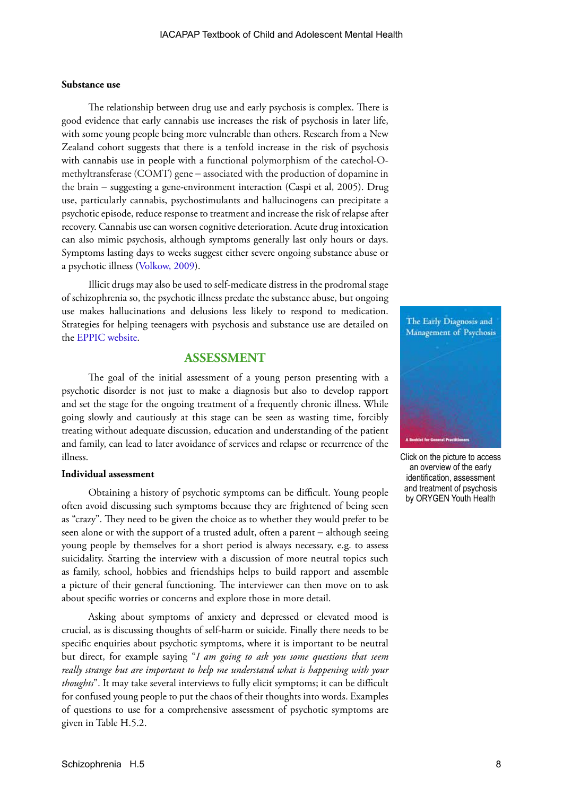#### **Substance use**

The relationship between drug use and early psychosis is complex. There is good evidence that early cannabis use increases the risk of psychosis in later life, with some young people being more vulnerable than others. Research from a New Zealand cohort suggests that there is a tenfold increase in the risk of psychosis with cannabis use in people with a functional polymorphism of the catechol-Omethyltransferase (COMT) gene − associated with the production of dopamine in the brain − suggesting a gene-environment interaction (Caspi et al, 2005). Drug use, particularly cannabis, psychostimulants and hallucinogens can precipitate a psychotic episode, reduce response to treatment and increase the risk of relapse after recovery. Cannabis use can worsen cognitive deterioration. Acute drug intoxication can also mimic psychosis, although symptoms generally last only hours or days. Symptoms lasting days to weeks suggest either severe ongoing substance abuse or a psychotic illness ([Volkow, 2009\)](http://www.medscape.com/viewarticle/706332).

Illicit drugs may also be used to self-medicate distress in the prodromal stage of schizophrenia so, the psychotic illness predate the substance abuse, but ongoing use makes hallucinations and delusions less likely to respond to medication. Strategies for helping teenagers with psychosis and substance use are detailed on the [EPPIC website](http://www.eppic.org.au/substance-use).

# **ASSESSMENT**

The goal of the initial assessment of a young person presenting with a psychotic disorder is not just to make a diagnosis but also to develop rapport and set the stage for the ongoing treatment of a frequently chronic illness. While going slowly and cautiously at this stage can be seen as wasting time, forcibly treating without adequate discussion, education and understanding of the patient and family, can lead to later avoidance of services and relapse or recurrence of the illness.

#### **Individual assessment**

Obtaining a history of psychotic symptoms can be difficult. Young people often avoid discussing such symptoms because they are frightened of being seen as "crazy". They need to be given the choice as to whether they would prefer to be seen alone or with the support of a trusted adult, often a parent – although seeing young people by themselves for a short period is always necessary, e.g. to assess suicidality. Starting the interview with a discussion of more neutral topics such as family, school, hobbies and friendships helps to build rapport and assemble a picture of their general functioning. The interviewer can then move on to ask about specific worries or concerns and explore those in more detail.

Asking about symptoms of anxiety and depressed or elevated mood is crucial, as is discussing thoughts of self-harm or suicide. Finally there needs to be specific enquiries about psychotic symptoms, where it is important to be neutral but direct, for example saying "*I am going to ask you some questions that seem really strange but are important to help me understand what is happening with your thoughts*". It may take several interviews to fully elicit symptoms; it can be difficult for confused young people to put the chaos of their thoughts into words. Examples of questions to use for a comprehensive assessment of psychotic symptoms are given in Table H.5.2.



Click on the picture to access an overview of the early identification, assessment and treatment of psychosis by ORYGEN Youth Health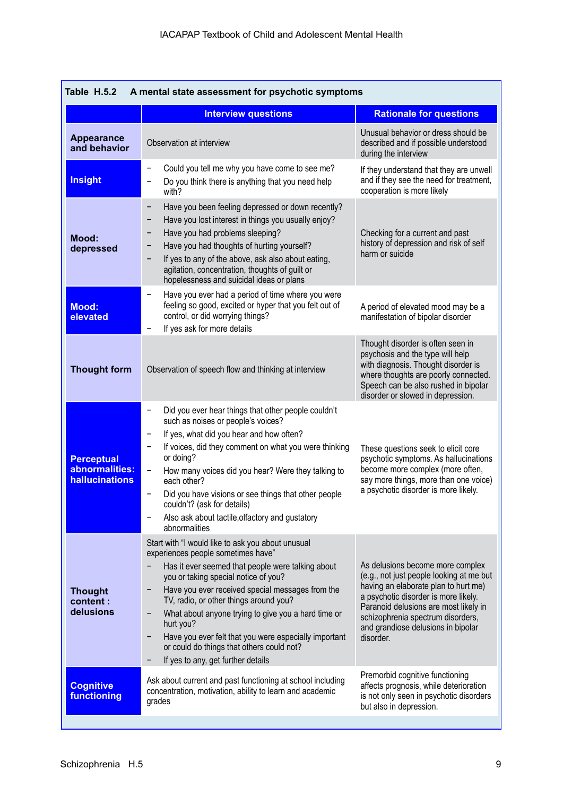|                                                              | <b>Interview questions</b>                                                                                                                                                                                                                                                                                                                                                                                                                                                                         | <b>Rationale for questions</b>                                                                                                                                                                                                                                                                |
|--------------------------------------------------------------|----------------------------------------------------------------------------------------------------------------------------------------------------------------------------------------------------------------------------------------------------------------------------------------------------------------------------------------------------------------------------------------------------------------------------------------------------------------------------------------------------|-----------------------------------------------------------------------------------------------------------------------------------------------------------------------------------------------------------------------------------------------------------------------------------------------|
| <b>Appearance</b><br>and behavior                            | Observation at interview                                                                                                                                                                                                                                                                                                                                                                                                                                                                           | Unusual behavior or dress should be<br>described and if possible understood<br>during the interview                                                                                                                                                                                           |
| <b>Insight</b>                                               | Could you tell me why you have come to see me?<br>-<br>Do you think there is anything that you need help<br>-<br>with?                                                                                                                                                                                                                                                                                                                                                                             | If they understand that they are unwell<br>and if they see the need for treatment,<br>cooperation is more likely                                                                                                                                                                              |
| Mood:<br>depressed                                           | Have you been feeling depressed or down recently?<br>$\qquad \qquad -$<br>Have you lost interest in things you usually enjoy?<br>-<br>Have you had problems sleeping?<br>-<br>Have you had thoughts of hurting yourself?<br>-<br>If yes to any of the above, ask also about eating,<br>agitation, concentration, thoughts of guilt or<br>hopelessness and suicidal ideas or plans                                                                                                                  | Checking for a current and past<br>history of depression and risk of self<br>harm or suicide                                                                                                                                                                                                  |
| <b>Mood:</b><br>elevated                                     | Have you ever had a period of time where you were<br>$\qquad \qquad -$<br>feeling so good, excited or hyper that you felt out of<br>control, or did worrying things?<br>If yes ask for more details                                                                                                                                                                                                                                                                                                | A period of elevated mood may be a<br>manifestation of bipolar disorder                                                                                                                                                                                                                       |
| <b>Thought form</b>                                          | Observation of speech flow and thinking at interview                                                                                                                                                                                                                                                                                                                                                                                                                                               | Thought disorder is often seen in<br>psychosis and the type will help<br>with diagnosis. Thought disorder is<br>where thoughts are poorly connected.<br>Speech can be also rushed in bipolar<br>disorder or slowed in depression.                                                             |
| <b>Perceptual</b><br>abnormalities:<br><b>hallucinations</b> | Did you ever hear things that other people couldn't<br>such as noises or people's voices?<br>If yes, what did you hear and how often?<br>-<br>If voices, did they comment on what you were thinking<br>$\qquad \qquad -$<br>or doing?<br>How many voices did you hear? Were they talking to<br>-<br>each other?<br>Did you have visions or see things that other people<br>couldn't? (ask for details)<br>Also ask about tactile, olfactory and gustatory<br>abnormalities                         | These questions seek to elicit core<br>psychotic symptoms. As hallucinations<br>become more complex (more often,<br>say more things, more than one voice)<br>a psychotic disorder is more likely.                                                                                             |
| <b>Thought</b><br>content :<br>delusions                     | Start with "I would like to ask you about unusual<br>experiences people sometimes have"<br>Has it ever seemed that people were talking about<br>you or taking special notice of you?<br>Have you ever received special messages from the<br>TV, radio, or other things around you?<br>What about anyone trying to give you a hard time or<br>hurt you?<br>Have you ever felt that you were especially important<br>or could do things that others could not?<br>If yes to any, get further details | As delusions become more complex<br>(e.g., not just people looking at me but<br>having an elaborate plan to hurt me)<br>a psychotic disorder is more likely.<br>Paranoid delusions are most likely in<br>schizophrenia spectrum disorders,<br>and grandiose delusions in bipolar<br>disorder. |
| <b>Cognitive</b><br><b>functioning</b>                       | Ask about current and past functioning at school including<br>concentration, motivation, ability to learn and academic<br>grades                                                                                                                                                                                                                                                                                                                                                                   | Premorbid cognitive functioning<br>affects prognosis, while deterioration<br>is not only seen in psychotic disorders<br>but also in depression.                                                                                                                                               |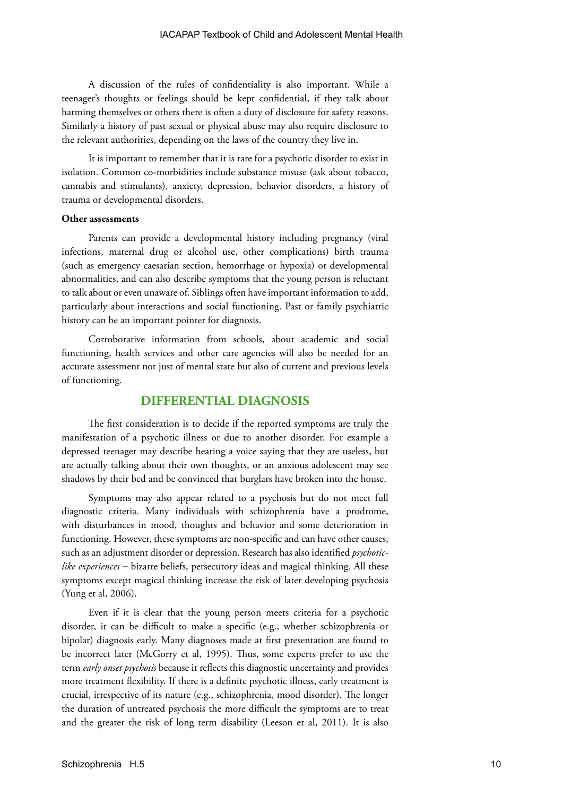A discussion of the rules of confidentiality is also important. While a teenager's thoughts or feelings should be kept confidential, if they talk about harming themselves or others there is often a duty of disclosure for safety reasons. Similarly a history of past sexual or physical abuse may also require disclosure to the relevant authorities, depending on the laws of the country they live in.

It is important to remember that it is rare for a psychotic disorder to exist in isolation. Common co-morbidities include substance misuse (ask about tobacco, cannabis and stimulants), anxiety, depression, behavior disorders, a history of trauma or developmental disorders.

#### **Other assessments**

Parents can provide a developmental history including pregnancy (viral infections, maternal drug or alcohol use, other complications) birth trauma (such as emergency caesarian section, hemorrhage or hypoxia) or developmental abnormalities, and can also describe symptoms that the young person is reluctant to talk about or even unaware of. Siblings often have important information to add, particularly about interactions and social functioning. Past or family psychiatric history can be an important pointer for diagnosis.

Corroborative information from schools, about academic and social functioning, health services and other care agencies will also be needed for an accurate assessment not just of mental state but also of current and previous levels of functioning.

#### **DIFFERENTIAL DIAGNOSIS**

The first consideration is to decide if the reported symptoms are truly the manifestation of a psychotic illness or due to another disorder. For example a depressed teenager may describe hearing a voice saying that they are useless, but are actually talking about their own thoughts, or an anxious adolescent may see shadows by their bed and be convinced that burglars have broken into the house.

Symptoms may also appear related to a psychosis but do not meet full diagnostic criteria. Many individuals with schizophrenia have a prodrome, with disturbances in mood, thoughts and behavior and some deterioration in functioning. However, these symptoms are non-specific and can have other causes, such as an adjustment disorder or depression. Research has also identified *psychoticlike experiences* − bizarre beliefs, persecutory ideas and magical thinking. All these symptoms except magical thinking increase the risk of later developing psychosis (Yung et al, 2006).

Even if it is clear that the young person meets criteria for a psychotic disorder, it can be difficult to make a specific (e.g., whether schizophrenia or bipolar) diagnosis early. Many diagnoses made at first presentation are found to be incorrect later (McGorry et al, 1995). Thus, some experts prefer to use the term *early onset psychosis* because it reflects this diagnostic uncertainty and provides more treatment flexibility. If there is a definite psychotic illness, early treatment is crucial, irrespective of its nature (e.g., schizophrenia, mood disorder). The longer the duration of untreated psychosis the more difficult the symptoms are to treat and the greater the risk of long term disability (Leeson et al, 2011). It is also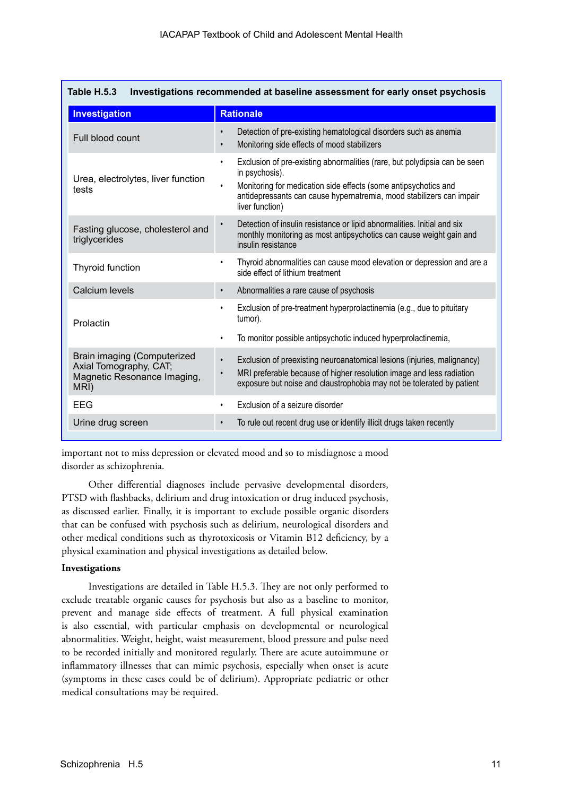| Table H.5.3<br>Investigations recommended at baseline assessment for early onset psychosis   |                                                                                                                                                                                                                                                                                     |  |  |  |  |
|----------------------------------------------------------------------------------------------|-------------------------------------------------------------------------------------------------------------------------------------------------------------------------------------------------------------------------------------------------------------------------------------|--|--|--|--|
| Investigation                                                                                | <b>Rationale</b>                                                                                                                                                                                                                                                                    |  |  |  |  |
| Full blood count                                                                             | Detection of pre-existing hematological disorders such as anemia<br>$\bullet$<br>Monitoring side effects of mood stabilizers<br>$\bullet$                                                                                                                                           |  |  |  |  |
| Urea, electrolytes, liver function<br>tests                                                  | Exclusion of pre-existing abnormalities (rare, but polydipsia can be seen<br>$\bullet$<br>in psychosis).<br>Monitoring for medication side effects (some antipsychotics and<br>$\bullet$<br>antidepressants can cause hypernatremia, mood stabilizers can impair<br>liver function) |  |  |  |  |
| Fasting glucose, cholesterol and<br>triglycerides                                            | Detection of insulin resistance or lipid abnormalities. Initial and six<br>$\bullet$<br>monthly monitoring as most antipsychotics can cause weight gain and<br>insulin resistance                                                                                                   |  |  |  |  |
| Thyroid function                                                                             | Thyroid abnormalities can cause mood elevation or depression and are a<br>$\bullet$<br>side effect of lithium treatment                                                                                                                                                             |  |  |  |  |
| Calcium levels                                                                               | Abnormalities a rare cause of psychosis<br>$\bullet$                                                                                                                                                                                                                                |  |  |  |  |
| Prolactin                                                                                    | Exclusion of pre-treatment hyperprolactinemia (e.g., due to pituitary<br>$\bullet$<br>tumor).                                                                                                                                                                                       |  |  |  |  |
|                                                                                              | To monitor possible antipsychotic induced hyperprolactinemia,<br>$\bullet$                                                                                                                                                                                                          |  |  |  |  |
| Brain imaging (Computerized<br>Axial Tomography, CAT;<br>Magnetic Resonance Imaging,<br>MRI) | Exclusion of preexisting neuroanatomical lesions (injuries, malignancy)<br>$\bullet$<br>MRI preferable because of higher resolution image and less radiation<br>exposure but noise and claustrophobia may not be tolerated by patient                                               |  |  |  |  |
| EEG                                                                                          | Exclusion of a seizure disorder<br>$\bullet$                                                                                                                                                                                                                                        |  |  |  |  |
| Urine drug screen                                                                            | To rule out recent drug use or identify illicit drugs taken recently<br>$\bullet$                                                                                                                                                                                                   |  |  |  |  |

important not to miss depression or elevated mood and so to misdiagnose a mood disorder as schizophrenia.

Other differential diagnoses include pervasive developmental disorders, PTSD with flashbacks, delirium and drug intoxication or drug induced psychosis, as discussed earlier. Finally, it is important to exclude possible organic disorders that can be confused with psychosis such as delirium, neurological disorders and other medical conditions such as thyrotoxicosis or Vitamin B12 deficiency, by a physical examination and physical investigations as detailed below.

#### **Investigations**

Investigations are detailed in Table H.5.3. They are not only performed to exclude treatable organic causes for psychosis but also as a baseline to monitor, prevent and manage side effects of treatment. A full physical examination is also essential, with particular emphasis on developmental or neurological abnormalities. Weight, height, waist measurement, blood pressure and pulse need to be recorded initially and monitored regularly. There are acute autoimmune or inflammatory illnesses that can mimic psychosis, especially when onset is acute (symptoms in these cases could be of delirium). Appropriate pediatric or other medical consultations may be required.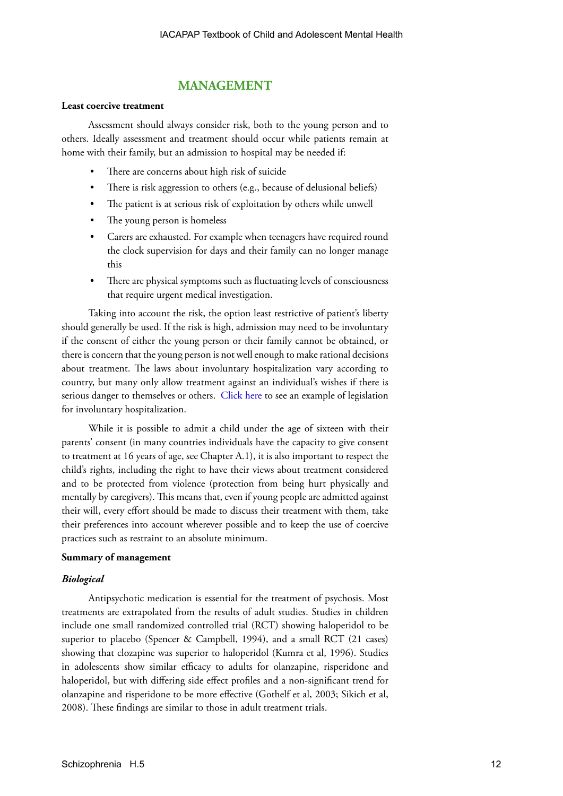# **MANAGEMENT**

#### **Least coercive treatment**

Assessment should always consider risk, both to the young person and to others. Ideally assessment and treatment should occur while patients remain at home with their family, but an admission to hospital may be needed if:

- There are concerns about high risk of suicide
- There is risk aggression to others (e.g., because of delusional beliefs)
- The patient is at serious risk of exploitation by others while unwell
- The young person is homeless
- Carers are exhausted. For example when teenagers have required round the clock supervision for days and their family can no longer manage this
- There are physical symptoms such as fluctuating levels of consciousness that require urgent medical investigation.

Taking into account the risk, the option least restrictive of patient's liberty should generally be used. If the risk is high, admission may need to be involuntary if the consent of either the young person or their family cannot be obtained, or there is concern that the young person is not well enough to make rational decisions about treatment. The laws about involuntary hospitalization vary according to country, but many only allow treatment against an individual's wishes if there is serious danger to themselves or others. [Click here](http://www.health.nsw.gov.au/mhdao/legislation.asp) to see an example of legislation for involuntary hospitalization.

While it is possible to admit a child under the age of sixteen with their parents' consent (in many countries individuals have the capacity to give consent to treatment at 16 years of age, see Chapter A.1), it is also important to respect the child's rights, including the right to have their views about treatment considered and to be protected from violence (protection from being hurt physically and mentally by caregivers). This means that, even if young people are admitted against their will, every effort should be made to discuss their treatment with them, take their preferences into account wherever possible and to keep the use of coercive practices such as restraint to an absolute minimum.

#### **Summary of management**

#### *Biological*

Antipsychotic medication is essential for the treatment of psychosis. Most treatments are extrapolated from the results of adult studies. Studies in children include one small randomized controlled trial (RCT) showing haloperidol to be superior to placebo (Spencer & Campbell, 1994), and a small RCT (21 cases) showing that clozapine was superior to haloperidol (Kumra et al, 1996). Studies in adolescents show similar efficacy to adults for olanzapine, risperidone and haloperidol, but with differing side effect profiles and a non-significant trend for olanzapine and risperidone to be more effective (Gothelf et al, 2003; Sikich et al, 2008). These findings are similar to those in adult treatment trials.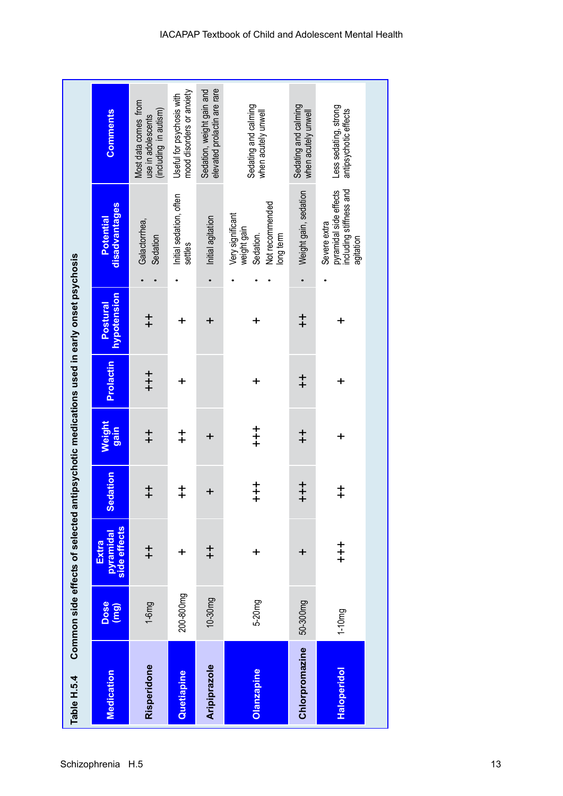| Table H.5.4    |              |                                            |                                          |                                              |            | Common side effects of selected antipsychotic medications used in early onset psychosis |                                                                                |                                                                     |
|----------------|--------------|--------------------------------------------|------------------------------------------|----------------------------------------------|------------|-----------------------------------------------------------------------------------------|--------------------------------------------------------------------------------|---------------------------------------------------------------------|
| Medication     | Dose<br>(mg) | side effects<br>pyramidal<br>Extra         | <b>Sedation</b>                          | Weight<br>gain                               | Prolactin  | hypotension<br>Postural                                                                 | disadvantages<br>Potential                                                     | <b>Comments</b>                                                     |
| Risperidone    | $1-6mg$      | $\ddagger$                                 | $\ddagger$                               | $\ddagger$                                   | $+$        | $\ddagger$                                                                              | Galactorrhea,<br>Sedation                                                      | Most data comes from<br>(including in autism)<br>use in adolescents |
| Quetiapine     | 200-800mg    | $\ddot{}$                                  | $\ddagger$                               | $\ddagger$                                   | $\ddot{}$  | +                                                                                       | Initial sedation, often<br>settles                                             | mood disorders or anxiety<br>Useful for psychosis with              |
| Aripiprazole   | 10-30mg      | $^{+}_{+}$                                 | $\ddot{}$                                | $\ddot{}$                                    |            | $\ddot{}$                                                                               | Initial agitation                                                              | elevated prolactin are rare<br>Sedation, weight gain and            |
| Olanzapine     | 5-20mg       | $\ddot{}$                                  | $\begin{array}{c} + \ + \ + \end{array}$ | $\begin{array}{c} + \ + \ + \ + \end{array}$ | $\ddot{}$  | +                                                                                       | Not recommended<br>Very significant<br>weight gain<br>Sedation.<br>long term   | Sedating and calming<br>when acutely unwell                         |
| Chlorpromazine | 50-300mg     | $\mathbf +$                                | $\begin{array}{c} + \ + \ + \end{array}$ | $\ddagger$                                   | $\ddagger$ | $\ddagger$                                                                              | Weight gain, sedation                                                          | Sedating and calming<br>when acutely unwell                         |
| Haloperidol    | $1 - 10mg$   | $\begin{array}{c} + \\ + \\ + \end{array}$ | $\ddagger$                               | $\ddot{}$                                    | $\ddot{}$  | $\ddot{}$                                                                               | pyramidal side effects<br>including stiffness and<br>Severe extra<br>agitation | Less sedating, strong<br>antipsychotic effects                      |
|                |              |                                            |                                          |                                              |            |                                                                                         |                                                                                |                                                                     |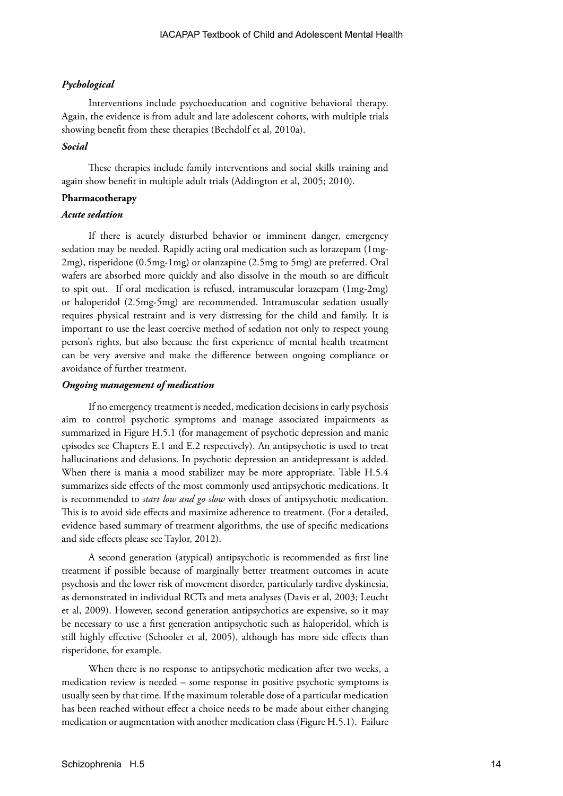#### *Pychological*

Interventions include psychoeducation and cognitive behavioral therapy. Again, the evidence is from adult and late adolescent cohorts, with multiple trials showing benefit from these therapies (Bechdolf et al, 2010a).

#### *Social*

These therapies include family interventions and social skills training and again show benefit in multiple adult trials (Addington et al, 2005; 2010).

#### **Pharmacotherapy**

#### *Acute sedation*

If there is acutely disturbed behavior or imminent danger, emergency sedation may be needed. Rapidly acting oral medication such as lorazepam (1mg-2mg), risperidone (0.5mg-1mg) or olanzapine (2.5mg to 5mg) are preferred. Oral wafers are absorbed more quickly and also dissolve in the mouth so are difficult to spit out. If oral medication is refused, intramuscular lorazepam (1mg-2mg) or haloperidol (2.5mg-5mg) are recommended. Intramuscular sedation usually requires physical restraint and is very distressing for the child and family. It is important to use the least coercive method of sedation not only to respect young person's rights, but also because the first experience of mental health treatment can be very aversive and make the difference between ongoing compliance or avoidance of further treatment.

#### *Ongoing management of medication*

If no emergency treatment is needed, medication decisions in early psychosis aim to control psychotic symptoms and manage associated impairments as summarized in Figure H.5.1 (for management of psychotic depression and manic episodes see Chapters E.1 and E.2 respectively). An antipsychotic is used to treat hallucinations and delusions. In psychotic depression an antidepressant is added. When there is mania a mood stabilizer may be more appropriate. Table H.5.4 summarizes side effects of the most commonly used antipsychotic medications. It is recommended to *start low and go slow* with doses of antipsychotic medication. This is to avoid side effects and maximize adherence to treatment. (For a detailed, evidence based summary of treatment algorithms, the use of specific medications and side effects please see Taylor, 2012).

A second generation (atypical) antipsychotic is recommended as first line treatment if possible because of marginally better treatment outcomes in acute psychosis and the lower risk of movement disorder, particularly tardive dyskinesia, as demonstrated in individual RCTs and meta analyses (Davis et al, 2003; Leucht et al, 2009). However, second generation antipsychotics are expensive, so it may be necessary to use a first generation antipsychotic such as haloperidol, which is still highly effective (Schooler et al, 2005), although has more side effects than risperidone, for example.

When there is no response to antipsychotic medication after two weeks, a medication review is needed – some response in positive psychotic symptoms is usually seen by that time. If the maximum tolerable dose of a particular medication has been reached without effect a choice needs to be made about either changing medication or augmentation with another medication class (Figure H.5.1). Failure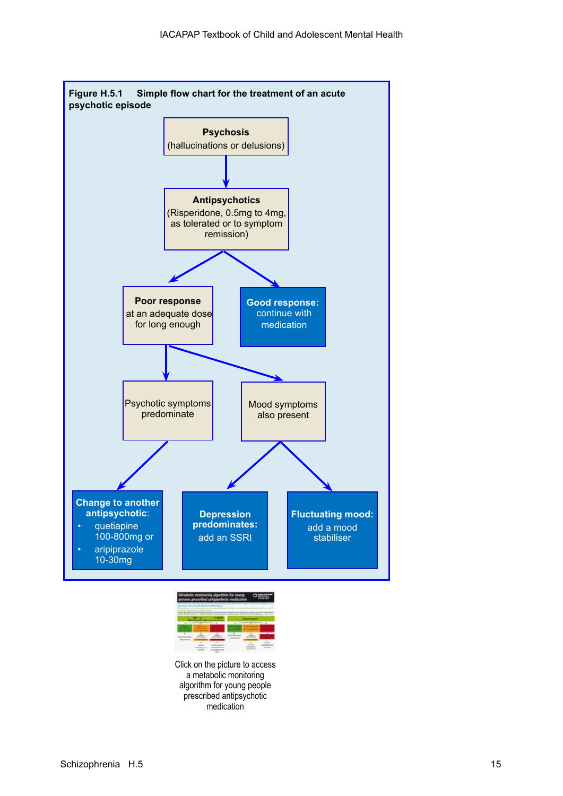

Click on the picture to access a metabolic monitoring algorithm for young people prescribed antipsychotic medication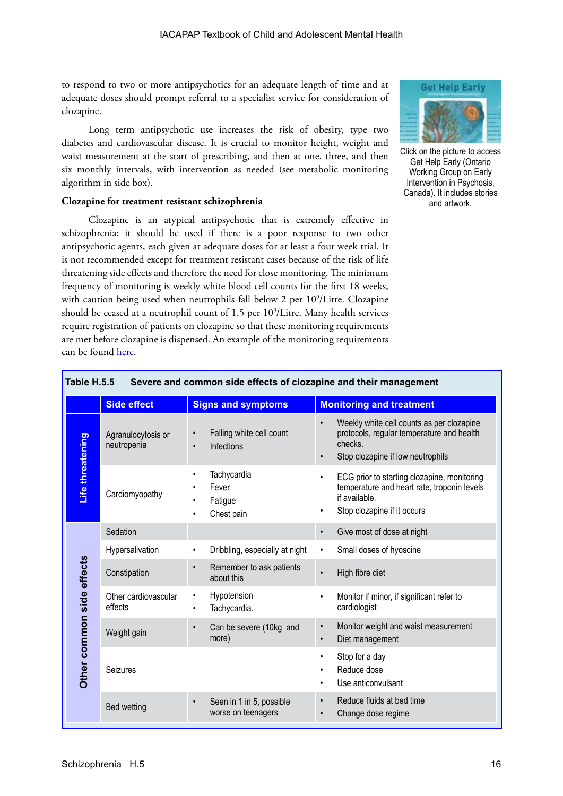to respond to two or more antipsychotics for an adequate length of time and at adequate doses should prompt referral to a specialist service for consideration of clozapine.

Long term antipsychotic use increases the risk of obesity, type two diabetes and cardiovascular disease. It is crucial to monitor height, weight and waist measurement at the start of prescribing, and then at one, three, and then six monthly intervals, with intervention as needed (see metabolic monitoring algorithm in side box).

#### **Clozapine for treatment resistant schizophrenia**

Clozapine is an atypical antipsychotic that is extremely effective in schizophrenia; it should be used if there is a poor response to two other antipsychotic agents, each given at adequate doses for at least a four week trial. It is not recommended except for treatment resistant cases because of the risk of life threatening side effects and therefore the need for close monitoring. The minimum frequency of monitoring is weekly white blood cell counts for the first 18 weeks, with caution being used when neutrophils fall below 2 per 10<sup>9</sup>/Litre. Clozapine should be ceased at a neutrophil count of 1.5 per 10<sup>9</sup>/Litre. Many health services require registration of patients on clozapine so that these monitoring requirements are met before clozapine is dispensed. An example of the monitoring requirements can be found [here](http://www.watag.org.au/wapdc/docs/antipsychotic_guidelines_aug06.pdf
).



Click on the picture to access Get Help Early (Ontario Working Group on Early Intervention in Psychosis, Canada). It includes stories and artwork.

| Table H.5.5<br>Severe and common side effects of clozapine and their management |                                   |                                                                 |                                                                                                                                                              |  |
|---------------------------------------------------------------------------------|-----------------------------------|-----------------------------------------------------------------|--------------------------------------------------------------------------------------------------------------------------------------------------------------|--|
|                                                                                 | <b>Side effect</b>                | <b>Signs and symptoms</b>                                       | <b>Monitoring and treatment</b>                                                                                                                              |  |
|                                                                                 | Agranulocytosis or<br>neutropenia | Falling white cell count<br>Infections<br>$\bullet$             | Weekly white cell counts as per clozapine<br>protocols, regular temperature and health<br>checks.<br>Stop clozapine if low neutrophils                       |  |
| Life threatening                                                                | Cardiomyopathy                    | Tachycardia<br>$\bullet$<br>Fever<br>Fatigue<br>Chest pain<br>٠ | ECG prior to starting clozapine, monitoring<br>$\bullet$<br>temperature and heart rate, troponin levels<br>if available.<br>Stop clozapine if it occurs<br>٠ |  |
|                                                                                 | Sedation                          |                                                                 | Give most of dose at night<br>$\bullet$                                                                                                                      |  |
|                                                                                 | Hypersalivation                   | Dribbling, especially at night<br>$\bullet$                     | Small doses of hyoscine<br>$\bullet$                                                                                                                         |  |
| side effects                                                                    | Constipation                      | Remember to ask patients<br>$\bullet$<br>about this             | High fibre diet<br>$\bullet$                                                                                                                                 |  |
|                                                                                 | Other cardiovascular<br>effects   | Hypotension<br>٠<br>Tachycardia.<br>٠                           | Monitor if minor, if significant refer to<br>$\bullet$<br>cardiologist                                                                                       |  |
|                                                                                 | Weight gain                       | Can be severe (10kg and<br>$\bullet$<br>more)                   | Monitor weight and waist measurement<br>$\bullet$<br>Diet management<br>$\bullet$                                                                            |  |
| Other common                                                                    | Seizures                          |                                                                 | Stop for a day<br>Reduce dose<br>Use anticonvulsant<br>$\bullet$                                                                                             |  |
|                                                                                 | Bed wetting                       | Seen in 1 in 5, possible<br>$\bullet$<br>worse on teenagers     | Reduce fluids at bed time<br>$\bullet$<br>Change dose regime<br>$\bullet$                                                                                    |  |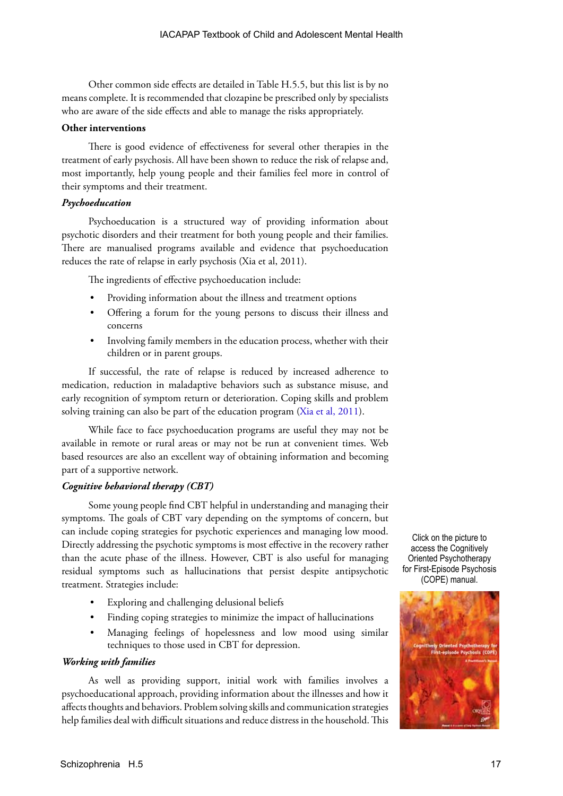Other common side effects are detailed in Table H.5.5, but this list is by no means complete. It is recommended that clozapine be prescribed only by specialists who are aware of the side effects and able to manage the risks appropriately.

#### **Other interventions**

There is good evidence of effectiveness for several other therapies in the treatment of early psychosis. All have been shown to reduce the risk of relapse and, most importantly, help young people and their families feel more in control of their symptoms and their treatment.

#### *Psychoeducation*

Psychoeducation is a structured way of providing information about psychotic disorders and their treatment for both young people and their families. There are manualised programs available and evidence that psychoeducation reduces the rate of relapse in early psychosis (Xia et al, 2011).

The ingredients of effective psychoeducation include:

- Providing information about the illness and treatment options
- Offering a forum for the young persons to discuss their illness and concerns
- Involving family members in the education process, whether with their children or in parent groups.

If successful, the rate of relapse is reduced by increased adherence to medication, reduction in maladaptive behaviors such as substance misuse, and early recognition of symptom return or deterioration. Coping skills and problem solving training can also be part of the education program [\(Xia et al, 2011](http://summaries.cochrane.org/CD002831/psychoeducation-added-to-standard-treatment-for-schizophrenia-reduces-relapse)).

While face to face psychoeducation programs are useful they may not be available in remote or rural areas or may not be run at convenient times. Web based resources are also an excellent way of obtaining information and becoming part of a supportive network.

#### *Cognitive behavioral therapy (CBT)*

Some young people find CBT helpful in understanding and managing their symptoms. The goals of CBT vary depending on the symptoms of concern, but can include coping strategies for psychotic experiences and managing low mood. Directly addressing the psychotic symptoms is most effective in the recovery rather than the acute phase of the illness. However, CBT is also useful for managing residual symptoms such as hallucinations that persist despite antipsychotic treatment. Strategies include:

- Exploring and challenging delusional beliefs
- Finding coping strategies to minimize the impact of hallucinations
- Managing feelings of hopelessness and low mood using similar techniques to those used in CBT for depression.

#### *Working with families*

As well as providing support, initial work with families involves a psychoeducational approach, providing information about the illnesses and how it affects thoughts and behaviors. Problem solving skills and communication strategies help families deal with difficult situations and reduce distress in the household. This

Click on the picture to access the Cognitively Oriented Psychotherapy for First-Episode Psychosis (COPE) manual.

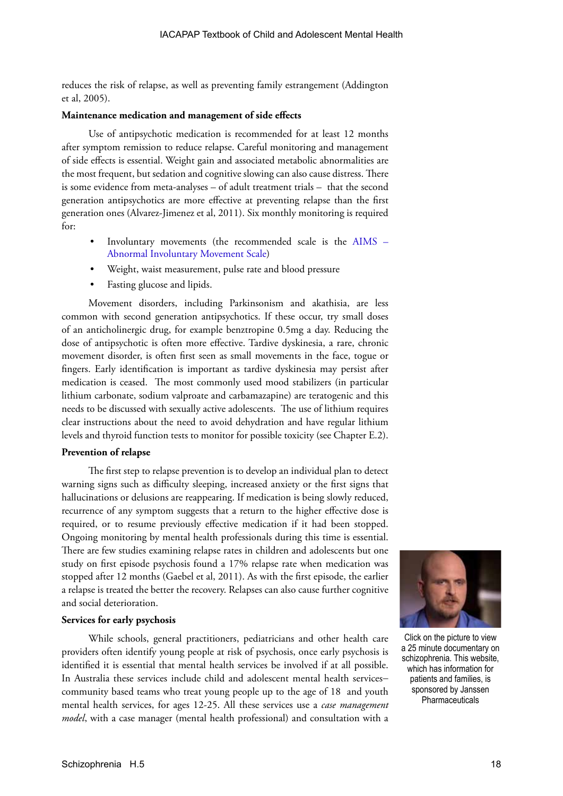reduces the risk of relapse, as well as preventing family estrangement (Addington et al, 2005).

#### **Maintenance medication and management of side effects**

Use of antipsychotic medication is recommended for at least 12 months after symptom remission to reduce relapse. Careful monitoring and management of side effects is essential. Weight gain and associated metabolic abnormalities are the most frequent, but sedation and cognitive slowing can also cause distress. There is some evidence from meta-analyses – of adult treatment trials – that the second generation antipsychotics are more effective at preventing relapse than the first generation ones (Alvarez-Jimenez et al, 2011). Six monthly monitoring is required for:

- Involuntary movements (the recommended scale is the AIMS [Abnormal Involuntary Movement Scale\)](www.atlantapsychiatry.com/forms/AIMS.pdf)
- Weight, waist measurement, pulse rate and blood pressure
- Fasting glucose and lipids.

Movement disorders, including Parkinsonism and akathisia, are less common with second generation antipsychotics. If these occur, try small doses of an anticholinergic drug, for example benztropine 0.5mg a day. Reducing the dose of antipsychotic is often more effective. Tardive dyskinesia, a rare, chronic movement disorder, is often first seen as small movements in the face, togue or fingers. Early identification is important as tardive dyskinesia may persist after medication is ceased. The most commonly used mood stabilizers (in particular lithium carbonate, sodium valproate and carbamazapine) are teratogenic and this needs to be discussed with sexually active adolescents. The use of lithium requires clear instructions about the need to avoid dehydration and have regular lithium levels and thyroid function tests to monitor for possible toxicity (see Chapter E.2).

#### **Prevention of relapse**

The first step to relapse prevention is to develop an individual plan to detect warning signs such as difficulty sleeping, increased anxiety or the first signs that hallucinations or delusions are reappearing. If medication is being slowly reduced, recurrence of any symptom suggests that a return to the higher effective dose is required, or to resume previously effective medication if it had been stopped. Ongoing monitoring by mental health professionals during this time is essential. There are few studies examining relapse rates in children and adolescents but one study on first episode psychosis found a 17% relapse rate when medication was stopped after 12 months (Gaebel et al, 2011). As with the first episode, the earlier a relapse is treated the better the recovery. Relapses can also cause further cognitive and social deterioration.

#### **Services for early psychosis**

While schools, general practitioners, pediatricians and other health care providers often identify young people at risk of psychosis, once early psychosis is identified it is essential that mental health services be involved if at all possible. In Australia these services include child and adolescent mental health services− community based teams who treat young people up to the age of 18 and youth mental health services, for ages 12-25. All these services use a *case management model*, with a case manager (mental health professional) and consultation with a



Click on the picture to view a 25 minute documentary on schizophrenia. This website, which has information for patients and families, is sponsored by Janssen **Pharmaceuticals**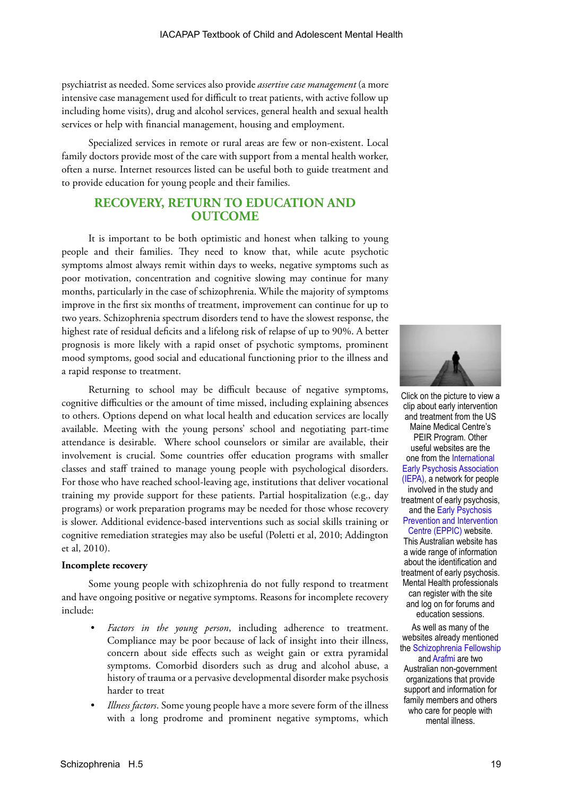psychiatrist as needed. Some services also provide *assertive case management* (a more intensive case management used for difficult to treat patients, with active follow up including home visits), drug and alcohol services, general health and sexual health services or help with financial management, housing and employment.

Specialized services in remote or rural areas are few or non-existent. Local family doctors provide most of the care with support from a mental health worker, often a nurse. Internet resources listed can be useful both to guide treatment and to provide education for young people and their families.

# **RECOVERY, RETURN TO EDUCATION AND OUTCOME**

It is important to be both optimistic and honest when talking to young people and their families. They need to know that, while acute psychotic symptoms almost always remit within days to weeks, negative symptoms such as poor motivation, concentration and cognitive slowing may continue for many months, particularly in the case of schizophrenia. While the majority of symptoms improve in the first six months of treatment, improvement can continue for up to two years. Schizophrenia spectrum disorders tend to have the slowest response, the highest rate of residual deficits and a lifelong risk of relapse of up to 90%. A better prognosis is more likely with a rapid onset of psychotic symptoms, prominent mood symptoms, good social and educational functioning prior to the illness and a rapid response to treatment.

Returning to school may be difficult because of negative symptoms, cognitive difficulties or the amount of time missed, including explaining absences to others. Options depend on what local health and education services are locally available. Meeting with the young persons' school and negotiating part-time attendance is desirable. Where school counselors or similar are available, their involvement is crucial. Some countries offer education programs with smaller classes and staff trained to manage young people with psychological disorders. For those who have reached school-leaving age, institutions that deliver vocational training my provide support for these patients. Partial hospitalization (e.g., day programs) or work preparation programs may be needed for those whose recovery is slower. Additional evidence-based interventions such as social skills training or cognitive remediation strategies may also be useful (Poletti et al, 2010; Addington et al, 2010).

#### **Incomplete recovery**

Some young people with schizophrenia do not fully respond to treatment and have ongoing positive or negative symptoms. Reasons for incomplete recovery include:

- Factors in the young person, including adherence to treatment. Compliance may be poor because of lack of insight into their illness, concern about side effects such as weight gain or extra pyramidal symptoms. Comorbid disorders such as drug and alcohol abuse, a history of trauma or a pervasive developmental disorder make psychosis harder to treat
- *• Illness factors*. Some young people have a more severe form of the illness with a long prodrome and prominent negative symptoms, which



Click on the picture to view a clip about early intervention and treatment from the US Maine Medical Centre's PEIR Program. Other useful websites are the one from the [International](http://www.iepa.org.au)  [Early Psychosis Association](http://www.iepa.org.au)  [\(IEPA\),](http://www.iepa.org.au) a network for people involved in the study and treatment of early psychosis, and the [Early Psychosis](http://www.eppic.org.au)  [Prevention and Intervention](http://www.eppic.org.au)  [Centre \(EPPIC\)](http://www.eppic.org.au) website. This Australian website has a wide range of information about the identification and treatment of early psychosis. Mental Health professionals can register with the site and log on for forums and education sessions.

As well as many of the websites already mentioned the [Schizophrenia Fellowship](http://www.sfnsw.org.au/)  and [Arafmi a](http://www.arafmiaustralia.asn.au/)re two

Australian non-government organizations that provide support and information for family members and others who care for people with mental illness.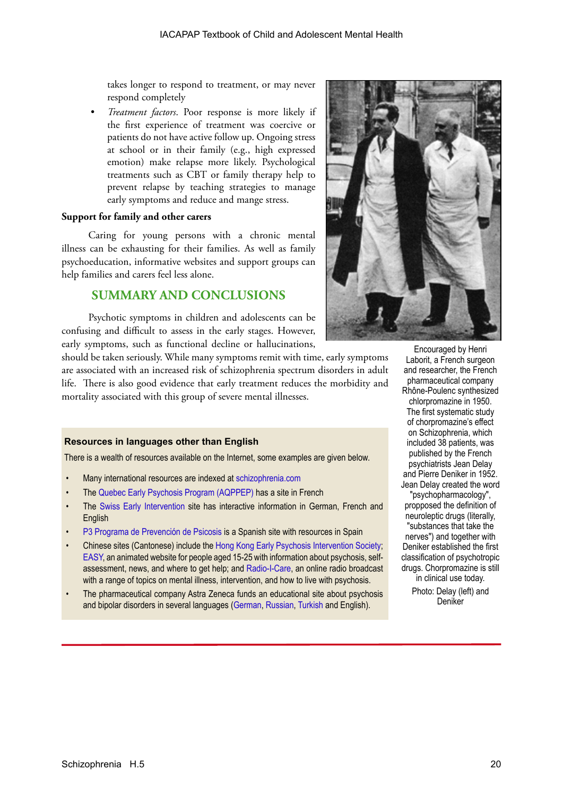takes longer to respond to treatment, or may never respond completely

*• Treatment factors*. Poor response is more likely if the first experience of treatment was coercive or patients do not have active follow up. Ongoing stress at school or in their family (e.g., high expressed emotion) make relapse more likely. Psychological treatments such as CBT or family therapy help to prevent relapse by teaching strategies to manage early symptoms and reduce and mange stress.

#### **Support for family and other carers**

Caring for young persons with a chronic mental illness can be exhausting for their families. As well as family psychoeducation, informative websites and support groups can help families and carers feel less alone.

# **SUMMARY AND CONCLUSIONS**

Psychotic symptoms in children and adolescents can be confusing and difficult to assess in the early stages. However, early symptoms, such as functional decline or hallucinations,

should be taken seriously. While many symptoms remit with time, early symptoms are associated with an increased risk of schizophrenia spectrum disorders in adult life. There is also good evidence that early treatment reduces the morbidity and mortality associated with this group of severe mental illnesses.

#### **Resources in languages other than English**

There is a wealth of resources available on the Internet, some examples are given below.

- Many international resources are indexed at [schizophrenia.com](http://schizophrenia.com)
- The [Quebec Early Psychosis Program \(AQPPEP\)](http://www.aqppep.com/index.htm) has a site in French
- The [Swiss Early Intervention](http://www.swepp.ch/?lang=en) site has interactive information in German, French and **English**
- [P3 Programa de Prevención de Psicosis](http://www.p3-info.es/) is a Spanish site with resources in Spain
- Chinese sites (Cantonese) include the [Hong Kong Early Psychosis Intervention Society;](http://www.episo.org) [EASY,](www3.ha.org.hk/easy/chi/index) an animated website for people aged 15-25 with information about psychosis, selfassessment, news, and where to get help; and [Radio-I-Care,](http://www.radioicare.org/) an online radio broadcast with a range of topics on mental illness, intervention, and how to live with psychosis.
- The pharmaceutical company Astra Zeneca funds an educational site about psychosis and bipolar disorders in several languages ([German,](http://www.psychose.de/frueh-erkennen-von-psychosen-00.html�) [Russian,](http://www.psihos.ru) [Turkish](http://www.psikoz-bipolar.com) and English).



Encouraged by Henri Laborit, a French surgeon and researcher, the French pharmaceutical company Rhône-Poulenc synthesized chlorpromazine in 1950. The first systematic study of chorpromazine's effect on Schizophrenia, which included 38 patients, was published by the French psychiatrists Jean Delay and Pierre Deniker in 1952. Jean Delay created the word "psychopharmacology", propposed the definition of neuroleptic drugs (literally, "substances that take the nerves") and together with Deniker established the first classification of psychotropic drugs. Chorpromazine is still in clinical use today.

Photo: Delay (left) and Deniker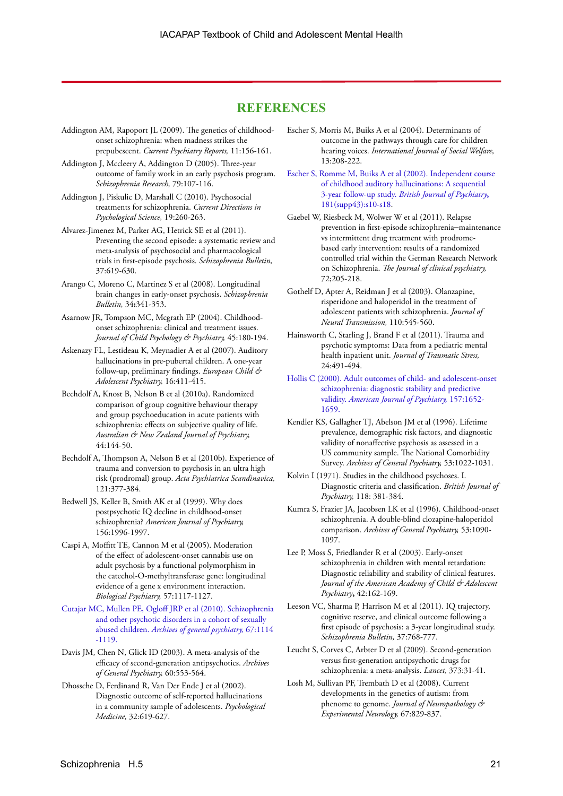## **REFERENCES**

- Addington AM, Rapoport JL (2009). The genetics of childhoodonset schizophrenia: when madness strikes the prepubescent. *Current Psychiatry Reports,* 11:156-161.
- Addington J, Mccleery A, Addington D (2005). Three-year outcome of family work in an early psychosis program. *Schizophrenia Research,* 79:107-116.
- Addington J, Piskulic D, Marshall C (2010). Psychosocial treatments for schizophrenia. *Current Directions in Psychological Science,* 19:260-263.
- Alvarez-Jimenez M, Parker AG, Hetrick SE et al (2011). Preventing the second episode: a systematic review and meta-analysis of psychosocial and pharmacological trials in first-episode psychosis. *Schizophrenia Bulletin,* 37:619-630.
- Arango C, Moreno C, Martinez S et al (2008). Longitudinal brain changes in early-onset psychosis. *Schizophrenia Bulletin,* 34**:**341-353.
- Asarnow JR, Tompson MC, Mcgrath EP (2004). Childhoodonset schizophrenia: clinical and treatment issues. *Journal of Child Psychology & Psychiatry,* 45:180-194.
- Askenazy FL, Lestideau K, Meynadier A et al (2007). Auditory hallucinations in pre-pubertal children. A one-year follow-up, preliminary findings. *European Child & Adolescent Psychiatry,* 16:411-415.
- Bechdolf A, Knost B, Nelson B et al (2010a). Randomized comparison of group cognitive behaviour therapy and group psychoeducation in acute patients with schizophrenia: effects on subjective quality of life. *Australian & New Zealand Journal of Psychiatry,* 44:144-50.
- Bechdolf A, Thompson A, Nelson B et al (2010b). Experience of trauma and conversion to psychosis in an ultra high risk (prodromal) group. *Acta Psychiatrica Scandinavica,* 121:377-384.
- Bedwell JS, Keller B, Smith AK et al (1999). Why does postpsychotic IQ decline in childhood-onset schizophrenia? *American Journal of Psychiatry,*  156:1996-1997.
- Caspi A, Moffitt TE, Cannon M et al (2005). Moderation of the effect of adolescent-onset cannabis use on adult psychosis by a functional polymorphism in the catechol-O-methyltransferase gene: longitudinal evidence of a gene x environment interaction. *Biological Psychiatry,* 57:1117-1127.
- [Cutajar MC, Mullen PE, Ogloff JRP et al \(2010\). Schizophrenia](http://archpsyc.ama-assn.org/cgi/content/full/67/11/1114)  [and other psychotic disorders in a cohort of sexually](http://archpsyc.ama-assn.org/cgi/content/full/67/11/1114)  abused children. *[Archives of general psychiatry,](http://archpsyc.ama-assn.org/cgi/content/full/67/11/1114)* 67:1114 [-1119.](http://archpsyc.ama-assn.org/cgi/content/full/67/11/1114)
- Davis JM, Chen N, Glick ID (2003). A meta-analysis of the efficacy of second-generation antipsychotics. *Archives of General Psychiatry,* 60:553-564.
- Dhossche D, Ferdinand R, Van Der Ende J et al (2002). Diagnostic outcome of self-reported hallucinations in a community sample of adolescents. *Psychological Medicine,* 32:619-627.
- Escher S, Morris M, Buiks A et al (2004). Determinants of outcome in the pathways through care for children hearing voices. *International Journal of Social Welfare,* 13:208-222.
- [Escher S, Romme M, Buiks A et al \(2002\). Independent course](http://bjp.rcpsych.org/content/181/43/s10.full.pdf)  [of childhood auditory hallucinations: A sequential](http://bjp.rcpsych.org/content/181/43/s10.full.pdf)  3-year follow-up study. *[British Journal of Psychiatry](http://bjp.rcpsych.org/content/181/43/s10.full.pdf)***,** [181\(supp43\):s10-s18](http://bjp.rcpsych.org/content/181/43/s10.full.pdf).
- Gaebel W, Riesbeck M, Wolwer W et al (2011). Relapse prevention in first-episode schizophrenia−maintenance vs intermittent drug treatment with prodromebased early intervention: results of a randomized controlled trial within the German Research Network on Schizophrenia. *The Journal of clinical psychiatry,* 72;205-218.
- Gothelf D, Apter A, Reidman J et al (2003). Olanzapine, risperidone and haloperidol in the treatment of adolescent patients with schizophrenia. *Journal of Neural Transmission,* 110:545-560.
- Hainsworth C, Starling J, Brand F et al (2011). Trauma and psychotic symptoms: Data from a pediatric mental health inpatient unit. *Journal of Traumatic Stress,* 24:491-494.
- [Hollis C \(2000\). Adult outcomes of child- and adolescent-onset](http://ajp.psychiatryonline.org/article.aspx?Volume=157&page=1652&journalID=13)  [schizophrenia: diagnostic stability and predictive](http://ajp.psychiatryonline.org/article.aspx?Volume=157&page=1652&journalID=13)  validity. *[American Journal of Psychiatry,](http://ajp.psychiatryonline.org/article.aspx?Volume=157&page=1652&journalID=13)* 157:1652- [1659.](http://ajp.psychiatryonline.org/article.aspx?Volume=157&page=1652&journalID=13)
- Kendler KS, Gallagher TJ, Abelson JM et al (1996). Lifetime prevalence, demographic risk factors, and diagnostic validity of nonaffective psychosis as assessed in a US community sample. The National Comorbidity Survey. *Archives of General Psychiatry,* 53:1022-1031.
- Kolvin I (1971). Studies in the childhood psychoses. I. Diagnostic criteria and classification. *British Journal of Psychiatry,* 118: 381-384.
- Kumra S, Frazier JA, Jacobsen LK et al (1996). Childhood-onset schizophrenia. A double-blind clozapine-haloperidol comparison. *Archives of General Psychiatry,* 53:1090- 1097.
- Lee P, Moss S, Friedlander R et al (2003). Early-onset schizophrenia in children with mental retardation: Diagnostic reliability and stability of clinical features. *Journal of the American Academy of Child & Adolescent Psychiatry***,** 42:162-169.
- Leeson VC, Sharma P, Harrison M et al (2011). IQ trajectory, cognitive reserve, and clinical outcome following a first episode of psychosis: a 3-year longitudinal study. *Schizophrenia Bulletin,* 37:768-777.
- Leucht S, Corves C, Arbter D et al (2009). Second-generation versus first-generation antipsychotic drugs for schizophrenia: a meta-analysis. *Lancet,* 373:31-41.
- Losh M, Sullivan PF, Trembath D et al (2008). Current developments in the genetics of autism: from phenome to genome. *Journal of Neuropathology & Experimental Neurology,* 67:829-837.